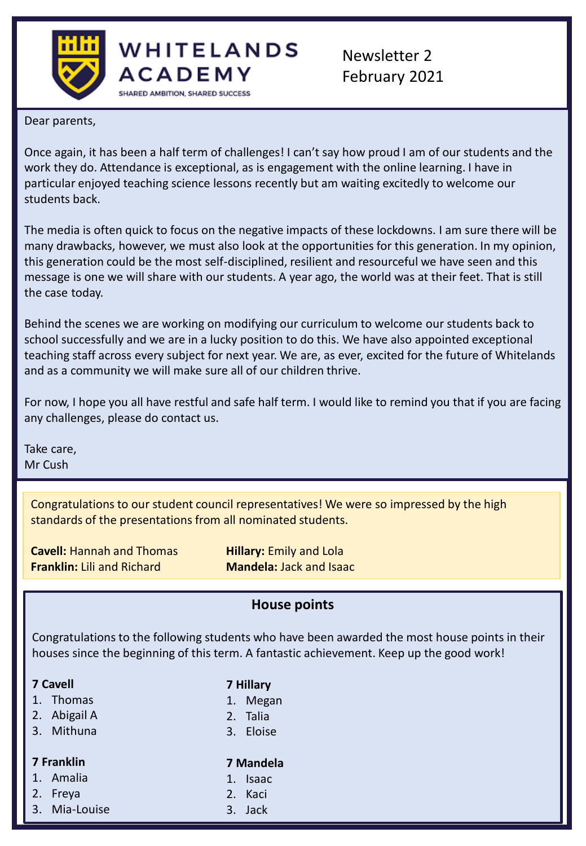



Dear parents,

Once again, it has been a half term of challenges! I can't say how proud I am of our students and the work they do. Attendance is exceptional, as is engagement with the online learning. I have in particular enjoyed teaching science lessons recently but am waiting excitedly to welcome our students back.

The media is often quick to focus on the negative impacts of these lockdowns. I am sure there will be many drawbacks, however, we must also look at the opportunities for this generation. In my opinion, this generation could be the most self-disciplined, resilient and resourceful we have seen and this message is one we will share with our students. A year ago, the world was at their feet. That is still the case today.

Behind the scenes we are working on modifying our curriculum to welcome our students back to school successfully and we are in a lucky position to do this. We have also appointed exceptional teaching staff across every subject for next year. We are, as ever, excited for the future of Whitelands and as a community we will make sure all of our children thrive.

For now, I hope you all have restful and safe half term. I would like to remind you that if you are facing any challenges, please do contact us.

Take care, Mr Cush

> Congratulations to our student council representatives! We were so impressed by the high standards of the presentations from all nominated students.

**Cavell:** Hannah and Thomas **Hillary:** Emily and Lola **Franklin:** Lili and Richard **Mandela:** Jack and Isaac

### **House points**

Congratulations to the following students who have been awarded the most house points in their houses since the beginning of this term. A fantastic achievement. Keep up the good work!

- 1. Thomas
- 2. Abigail A
- 3. Mithuna

#### **7 Franklin**

- 1. Amalia
- 2. Freya
- 3. Mia-Louise

### **7 Mandela**

1. Isaac

**7 Hillary** 1. Megan 2. Talia 3. Eloise

- 
- 2. Kaci
- 3. Jack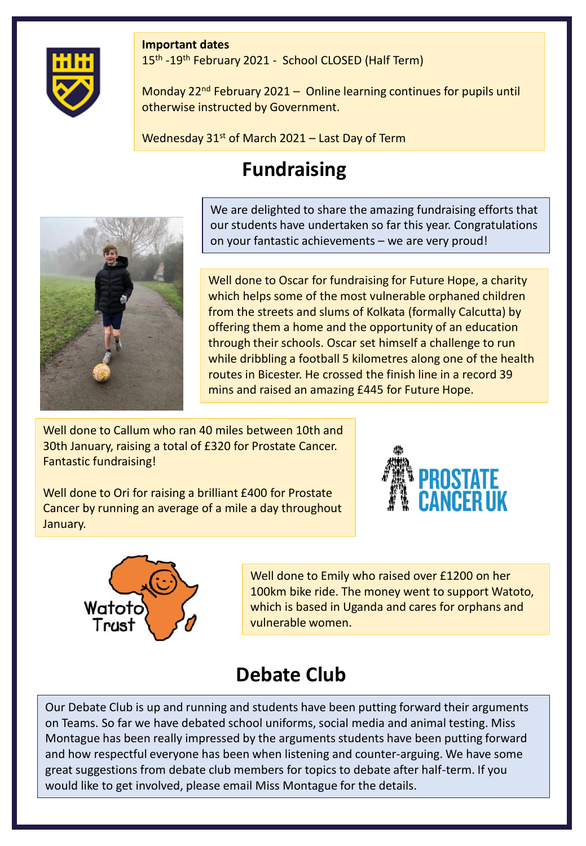#### **Important dates**



15<sup>th</sup> -19<sup>th</sup> February 2021 - School CLOSED (Half Term)

Monday  $22^{nd}$  February 2021 – Online learning continues for pupils until otherwise instructed by Government.

Wednesday  $31<sup>st</sup>$  of March 2021 – Last Day of Term

# **Fundraising**



We are delighted to share the amazing fundraising efforts that our students have undertaken so far this year. Congratulations on your fantastic achievements – we are very proud!

Well done to Oscar for fundraising for Future Hope, a charity which helps some of the most vulnerable orphaned children from the streets and slums of Kolkata (formally Calcutta) by offering them a home and the opportunity of an education through their schools. Oscar set himself a challenge to run while dribbling a football 5 kilometres along one of the health routes in Bicester. He crossed the finish line in a record 39 mins and raised an amazing £445 for Future Hope.

Well done to Callum who ran 40 miles between 10th and 30th January, raising a total of £320 for Prostate Cancer. Fantastic fundraising!

Well done to Ori for raising a brilliant £400 for Prostate Cancer by running an average of a mile a day throughout January.





Well done to Emily who raised over £1200 on her 100km bike ride. The money went to support Watoto, which is based in Uganda and cares for orphans and vulnerable women.

### **Debate Club**

Our Debate Club is up and running and students have been putting forward their arguments on Teams. So far we have debated school uniforms, social media and animal testing. Miss Montague has been really impressed by the arguments students have been putting forward and how respectful everyone has been when listening and counter-arguing. We have some great suggestions from debate club members for topics to debate after half-term. If you would like to get involved, please email Miss Montague for the details.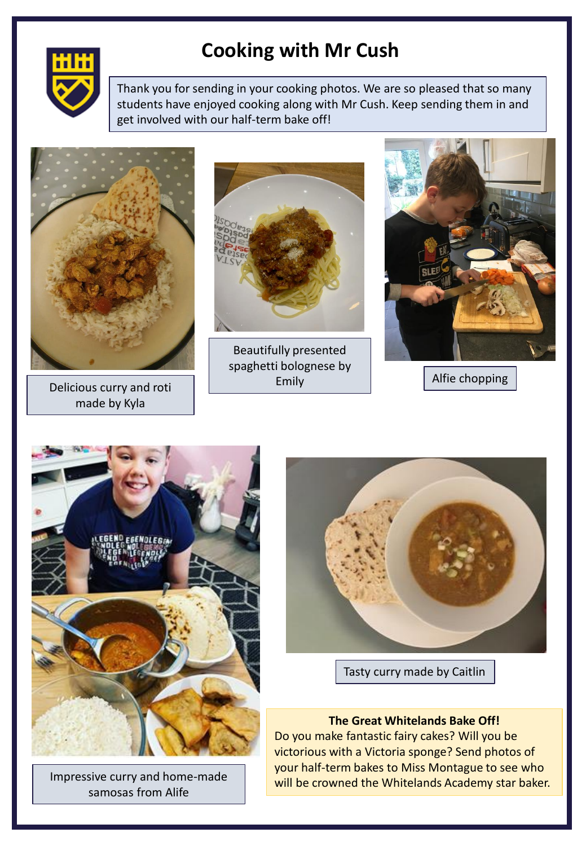

## **Cooking with Mr Cush**

Thank you for sending in your cooking photos. We are so pleased that so many students have enjoyed cooking along with Mr Cush. Keep sending them in and get involved with our half-term bake off!



Delicious curry and roti made by Kyla



Beautifully presented spaghetti bolognese by Emily



Alfie chopping



Impressive curry and home-made samosas from Alife



Tasty curry made by Caitlin

#### **The Great Whitelands Bake Off!**

Do you make fantastic fairy cakes? Will you be victorious with a Victoria sponge? Send photos of your half-term bakes to Miss Montague to see who will be crowned the Whitelands Academy star baker.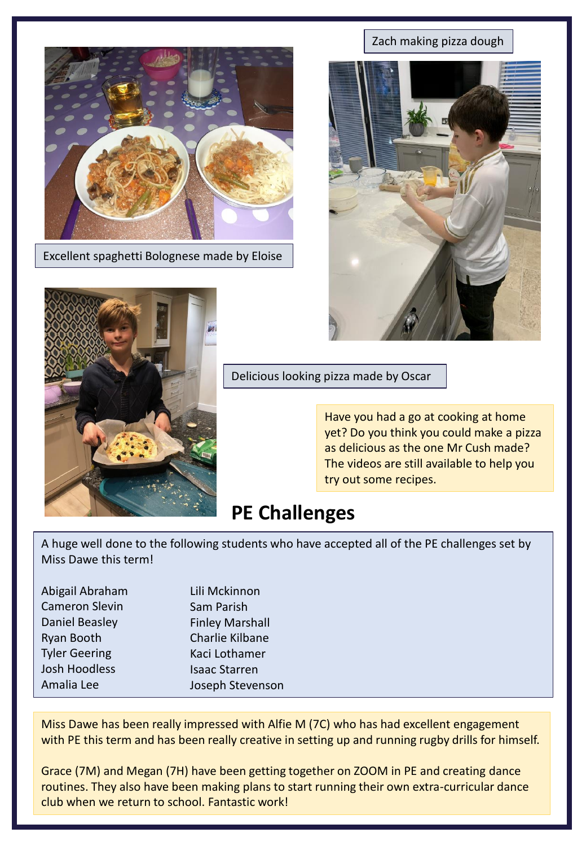

Excellent spaghetti Bolognese made by Eloise



Zach making pizza dough



Delicious looking pizza made by Oscar

Have you had a go at cooking at home yet? Do you think you could make a pizza as delicious as the one Mr Cush made? The videos are still available to help you try out some recipes.

### **PE Challenges**

A huge well done to the following students who have accepted all of the PE challenges set by Miss Dawe this term!

| Lili Mckinnon          |
|------------------------|
| Sam Parish             |
| <b>Finley Marshall</b> |
| Charlie Kilbane        |
| Kaci Lothamer          |
| <b>Isaac Starren</b>   |
| Joseph Stevenson       |
|                        |

Miss Dawe has been really impressed with Alfie M (7C) who has had excellent engagement with PE this term and has been really creative in setting up and running rugby drills for himself.

Grace (7M) and Megan (7H) have been getting together on ZOOM in PE and creating dance routines. They also have been making plans to start running their own extra-curricular dance club when we return to school. Fantastic work!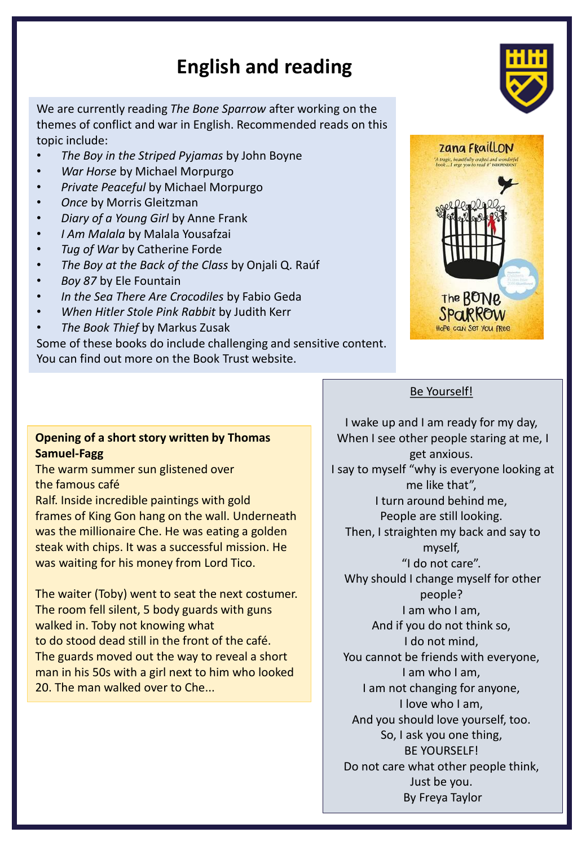# **English and reading**

We are currently reading *The Bone Sparrow* after working on the themes of conflict and war in English. Recommended reads on this topic include:

- *The Boy in the Striped Pyjamas* by John Boyne
- *War Horse* by Michael Morpurgo
- *Private Peaceful* by Michael Morpurgo
- *Once* by Morris Gleitzman
- *Diary of a Young Girl* by Anne Frank
- *I Am Malala* by Malala Yousafzai
- *Tug of War* by Catherine Forde
- *The Boy at the Back of the Class* by Onjali Q. Raúf
- *Boy 87* by Ele Fountain
- *In the Sea There Are Crocodiles* by Fabio Geda
- *When Hitler Stole Pink Rabbit* by Judith Kerr
- *The Book Thief* by Markus Zusak

Some of these books do include challenging and sensitive content. You can find out more on the Book Trust website.

#### **Opening of a short story written by Thomas Samuel-Fagg**

The warm summer sun glistened over the famous café

Ralf. Inside incredible paintings with gold frames of King Gon hang on the wall. Underneath was the millionaire Che. He was eating a golden steak with chips. It was a successful mission. He was waiting for his money from Lord Tico.

The waiter (Toby) went to seat the next costumer. The room fell silent, 5 body guards with guns walked in. Toby not knowing what to do stood dead still in the front of the café. The guards moved out the way to reveal a short man in his 50s with a girl next to him who looked 20. The man walked over to Che...





#### Be Yourself!

I wake up and I am ready for my day, When I see other people staring at me, I get anxious. I say to myself "why is everyone looking at me like that", I turn around behind me, People are still looking. Then, I straighten my back and say to myself, "I do not care". Why should I change myself for other people? I am who I am, And if you do not think so, I do not mind, You cannot be friends with everyone, I am who I am, I am not changing for anyone, I love who I am, And you should love yourself, too. So, I ask you one thing, BE YOURSELF! Do not care what other people think, Just be you. By Freya Taylor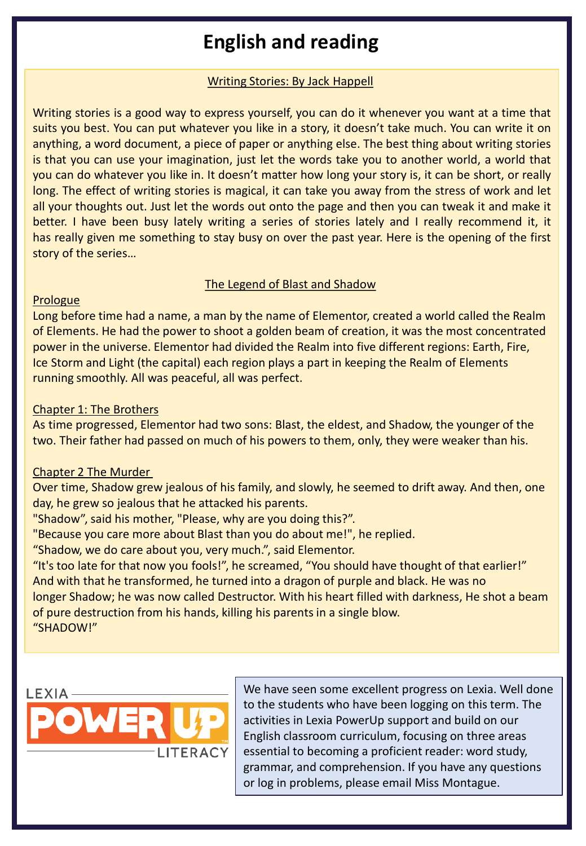# **English and reading**

#### Writing Stories: By Jack Happell

Writing stories is a good way to express yourself, you can do it whenever you want at a time that suits you best. You can put whatever you like in a story, it doesn't take much. You can write it on anything, a word document, a piece of paper or anything else. The best thing about writing stories is that you can use your imagination, just let the words take you to another world, a world that you can do whatever you like in. It doesn't matter how long your story is, it can be short, or really long. The effect of writing stories is magical, it can take you away from the stress of work and let all your thoughts out. Just let the words out onto the page and then you can tweak it and make it better. I have been busy lately writing a series of stories lately and I really recommend it, it has really given me something to stay busy on over the past year. Here is the opening of the first story of the series…

#### The Legend of Blast and Shadow

#### **Prologue**

Long before time had a name, a man by the name of Elementor, created a world called the Realm of Elements. He had the power to shoot a golden beam of creation, it was the most concentrated power in the universe. Elementor had divided the Realm into five different regions: Earth, Fire, Ice Storm and Light (the capital) each region plays a part in keeping the Realm of Elements running smoothly. All was peaceful, all was perfect.

#### Chapter 1: The Brothers

As time progressed, Elementor had two sons: Blast, the eldest, and Shadow, the younger of the two. Their father had passed on much of his powers to them, only, they were weaker than his.

#### Chapter 2 The Murder

Over time, Shadow grew jealous of his family, and slowly, he seemed to drift away. And then, one day, he grew so jealous that he attacked his parents.

"Shadow", said his mother, "Please, why are you doing this?".

"Because you care more about Blast than you do about me!", he replied.

"Shadow, we do care about you, very much.", said Elementor.

"It's too late for that now you fools!", he screamed, "You should have thought of that earlier!" And with that he transformed, he turned into a dragon of purple and black. He was no longer Shadow; he was now called Destructor. With his heart filled with darkness, He shot a beam of pure destruction from his hands, killing his parents in a single blow.

"SHADOW!"



We have seen some excellent progress on Lexia. Well done to the students who have been logging on this term. The activities in Lexia PowerUp support and build on our English classroom curriculum, focusing on three areas essential to becoming a proficient reader: word study, grammar, and comprehension. If you have any questions or log in problems, please email Miss Montague.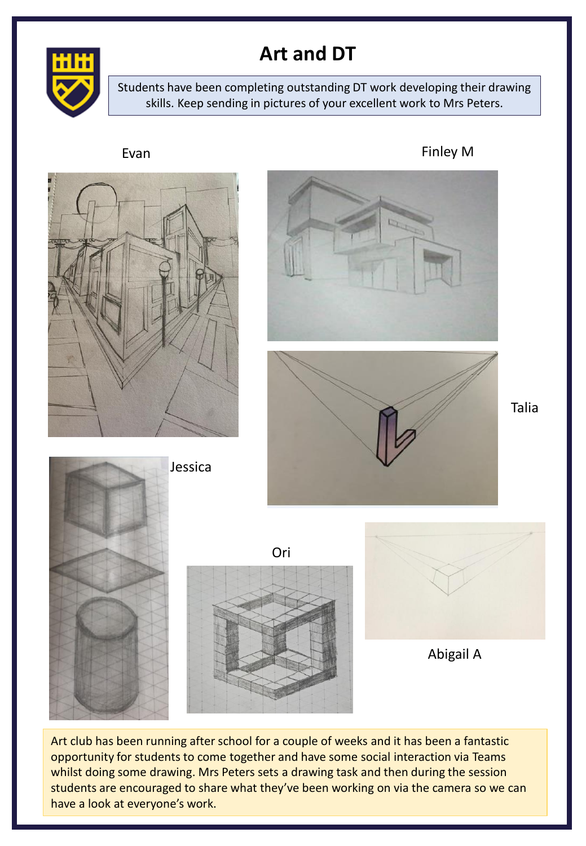

## **Art and DT**

Students have been completing outstanding DT work developing their drawing skills. Keep sending in pictures of your excellent work to Mrs Peters.



Art club has been running after school for a couple of weeks and it has been a fantastic opportunity for students to come together and have some social interaction via Teams whilst doing some drawing. Mrs Peters sets a drawing task and then during the session students are encouraged to share what they've been working on via the camera so we can have a look at everyone's work.